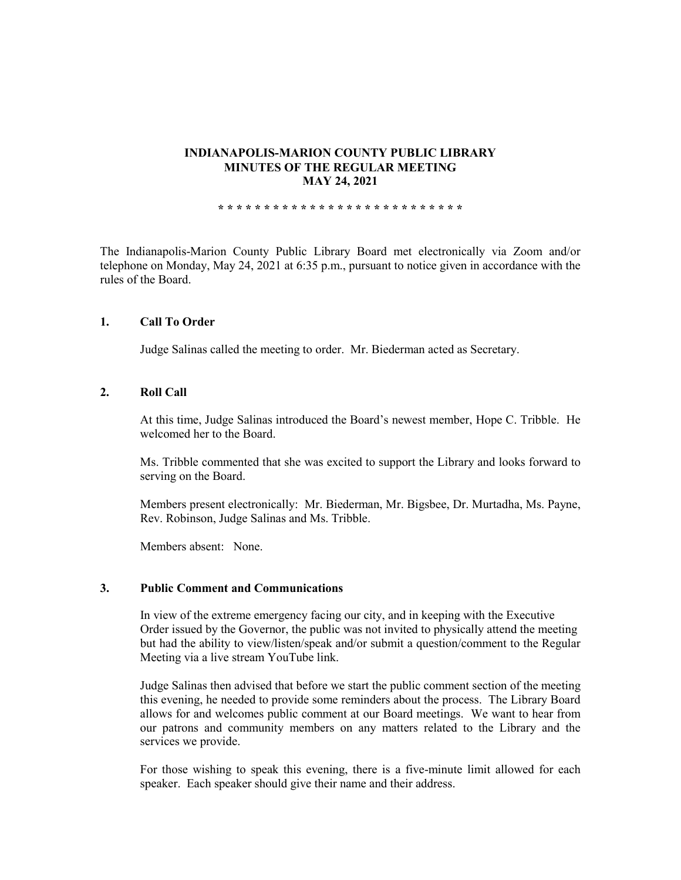### **INDIANAPOLIS-MARION COUNTY PUBLIC LIBRARY MINUTES OF THE REGULAR MEETING MAY 24, 2021**

**\* \* \* \* \* \* \* \* \* \* \* \* \* \* \* \* \* \* \* \* \* \* \* \* \* \* \***

The Indianapolis-Marion County Public Library Board met electronically via Zoom and/or telephone on Monday, May 24, 2021 at 6:35 p.m., pursuant to notice given in accordance with the rules of the Board.

## **1. Call To Order**

Judge Salinas called the meeting to order. Mr. Biederman acted as Secretary.

## **2. Roll Call**

At this time, Judge Salinas introduced the Board's newest member, Hope C. Tribble. He welcomed her to the Board.

Ms. Tribble commented that she was excited to support the Library and looks forward to serving on the Board.

Members present electronically: Mr. Biederman, Mr. Bigsbee, Dr. Murtadha, Ms. Payne, Rev. Robinson, Judge Salinas and Ms. Tribble.

Members absent: None.

### **3. Public Comment and Communications**

In view of the extreme emergency facing our city, and in keeping with the Executive Order issued by the Governor, the public was not invited to physically attend the meeting but had the ability to view/listen/speak and/or submit a question/comment to the Regular Meeting via a live stream YouTube link.

Judge Salinas then advised that before we start the public comment section of the meeting this evening, he needed to provide some reminders about the process. The Library Board allows for and welcomes public comment at our Board meetings. We want to hear from our patrons and community members on any matters related to the Library and the services we provide.

For those wishing to speak this evening, there is a five-minute limit allowed for each speaker. Each speaker should give their name and their address.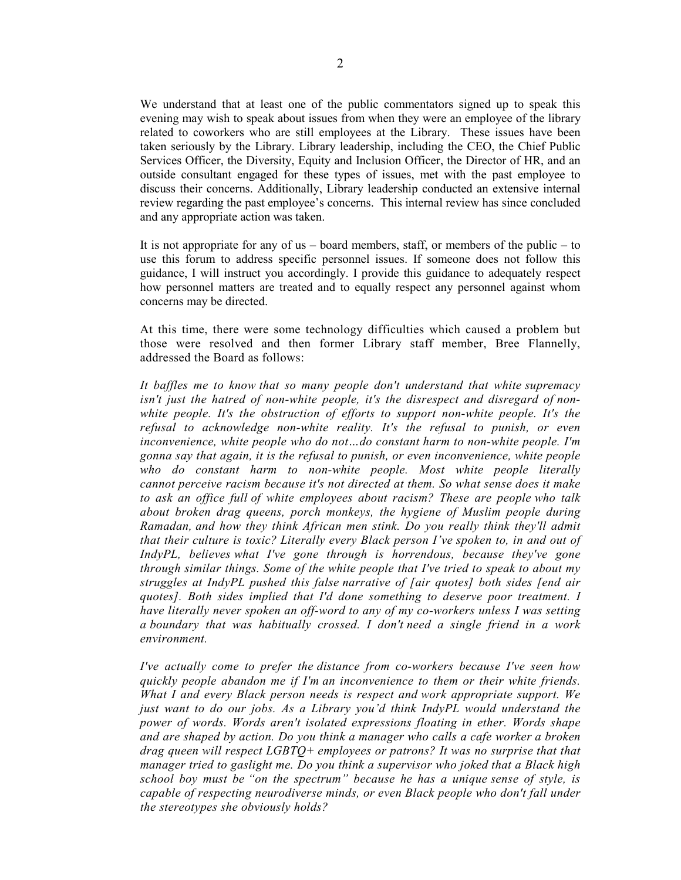We understand that at least one of the public commentators signed up to speak this evening may wish to speak about issues from when they were an employee of the library related to coworkers who are still employees at the Library. These issues have been taken seriously by the Library. Library leadership, including the CEO, the Chief Public Services Officer, the Diversity, Equity and Inclusion Officer, the Director of HR, and an outside consultant engaged for these types of issues, met with the past employee to discuss their concerns. Additionally, Library leadership conducted an extensive internal review regarding the past employee's concerns. This internal review has since concluded and any appropriate action was taken.

It is not appropriate for any of us  $-$  board members, staff, or members of the public  $-$  to use this forum to address specific personnel issues. If someone does not follow this guidance, I will instruct you accordingly. I provide this guidance to adequately respect how personnel matters are treated and to equally respect any personnel against whom concerns may be directed.

At this time, there were some technology difficulties which caused a problem but those were resolved and then former Library staff member, Bree Flannelly, addressed the Board as follows:

*It baffles me to know that so many people don't understand that white supremacy isn't just the hatred of non-white people, it's the disrespect and disregard of nonwhite people. It's the obstruction of efforts to support non-white people. It's the refusal to acknowledge non-white reality. It's the refusal to punish, or even inconvenience, white people who do not…do constant harm to non-white people. I'm gonna say that again, it is the refusal to punish, or even inconvenience, white people who do constant harm to non-white people. Most white people literally cannot perceive racism because it's not directed at them. So what sense does it make to ask an office full of white employees about racism? These are people who talk about broken drag queens, porch monkeys, the hygiene of Muslim people during Ramadan, and how they think African men stink. Do you really think they'll admit that their culture is toxic? Literally every Black person I've spoken to, in and out of IndyPL, believes what I've gone through is horrendous, because they've gone through similar things. Some of the white people that I've tried to speak to about my struggles at IndyPL pushed this false narrative of [air quotes] both sides [end air quotes]. Both sides implied that I'd done something to deserve poor treatment. I have literally never spoken an off-word to any of my co-workers unless I was setting a boundary that was habitually crossed. I don't need a single friend in a work environment.*

*I've actually come to prefer the distance from co-workers because I've seen how quickly people abandon me if I'm an inconvenience to them or their white friends. What I and every Black person needs is respect and work appropriate support. We just want to do our jobs. As a Library you'd think IndyPL would understand the power of words. Words aren't isolated expressions floating in ether. Words shape and are shaped by action. Do you think a manager who calls a cafe worker a broken drag queen will respect LGBTQ+ employees or patrons? It was no surprise that that manager tried to gaslight me. Do you think a supervisor who joked that a Black high school boy must be "on the spectrum" because he has a unique sense of style, is capable of respecting neurodiverse minds, or even Black people who don't fall under the stereotypes she obviously holds?*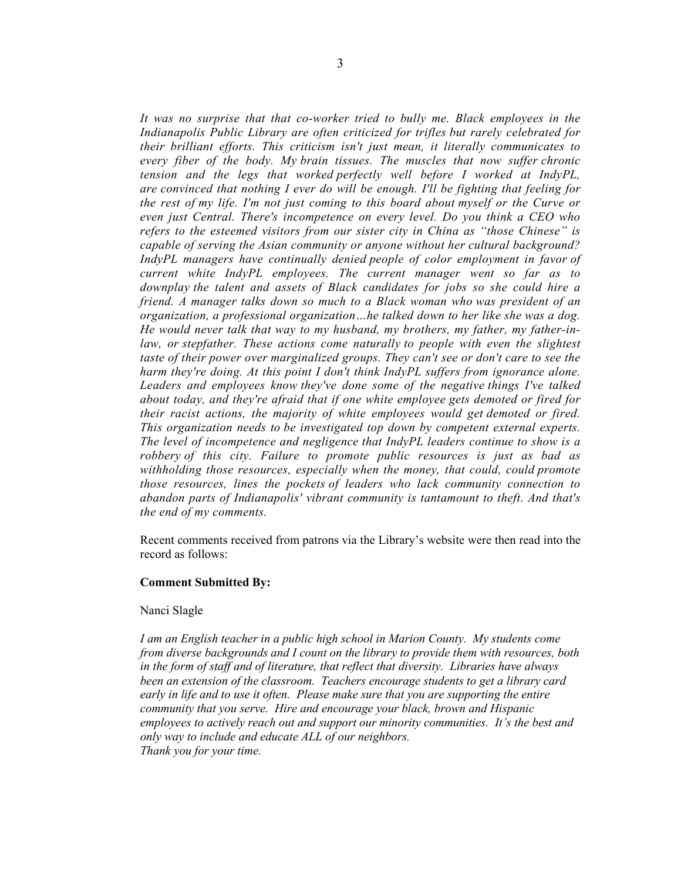*It was no surprise that that co-worker tried to bully me. Black employees in the Indianapolis Public Library are often criticized for trifles but rarely celebrated for their brilliant efforts. This criticism isn't just mean, it literally communicates to every fiber of the body. My brain tissues. The muscles that now suffer chronic tension and the legs that worked perfectly well before I worked at IndyPL, are convinced that nothing I ever do will be enough. I'll be fighting that feeling for the rest of my life. I'm not just coming to this board about myself or the Curve or even just Central. There's incompetence on every level. Do you think a CEO who refers to the esteemed visitors from our sister city in China as "those Chinese" is capable of serving the Asian community or anyone without her cultural background? IndyPL managers have continually denied people of color employment in favor of current white IndyPL employees. The current manager went so far as to downplay the talent and assets of Black candidates for jobs so she could hire a friend. A manager talks down so much to a Black woman who was president of an organization, a professional organization…he talked down to her like she was a dog. He would never talk that way to my husband, my brothers, my father, my father-inlaw, or stepfather. These actions come naturally to people with even the slightest taste of their power over marginalized groups. They can't see or don't care to see the harm they're doing. At this point I don't think IndyPL suffers from ignorance alone. Leaders and employees know they've done some of the negative things I've talked about today, and they're afraid that if one white employee gets demoted or fired for their racist actions, the majority of white employees would get demoted or fired. This organization needs to be investigated top down by competent external experts. The level of incompetence and negligence that IndyPL leaders continue to show is a robbery of this city. Failure to promote public resources is just as bad as withholding those resources, especially when the money, that could, could promote those resources, lines the pockets of leaders who lack community connection to abandon parts of Indianapolis' vibrant community is tantamount to theft. And that's the end of my comments.* 

Recent comments received from patrons via the Library's website were then read into the record as follows:

#### **Comment Submitted By:**

#### Nanci Slagle

*I am an English teacher in a public high school in Marion County. My students come from diverse backgrounds and I count on the library to provide them with resources, both in the form of staff and of literature, that reflect that diversity. Libraries have always been an extension of the classroom. Teachers encourage students to get a library card early in life and to use it often. Please make sure that you are supporting the entire community that you serve. Hire and encourage your black, brown and Hispanic employees to actively reach out and support our minority communities. It's the best and only way to include and educate ALL of our neighbors. Thank you for your time.*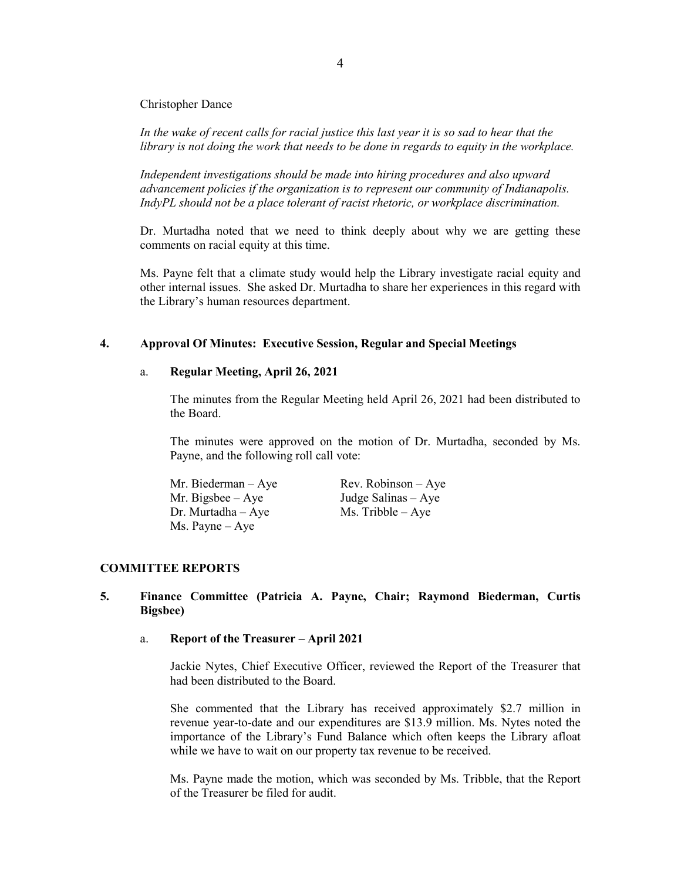Christopher Dance

*In the wake of recent calls for racial justice this last year it is so sad to hear that the library is not doing the work that needs to be done in regards to equity in the workplace.* 

*Independent investigations should be made into hiring procedures and also upward advancement policies if the organization is to represent our community of Indianapolis. IndyPL should not be a place tolerant of racist rhetoric, or workplace discrimination.* 

Dr. Murtadha noted that we need to think deeply about why we are getting these comments on racial equity at this time.

Ms. Payne felt that a climate study would help the Library investigate racial equity and other internal issues. She asked Dr. Murtadha to share her experiences in this regard with the Library's human resources department.

## **4. Approval Of Minutes: Executive Session, Regular and Special Meetings**

#### a. **Regular Meeting, April 26, 2021**

The minutes from the Regular Meeting held April 26, 2021 had been distributed to the Board.

The minutes were approved on the motion of Dr. Murtadha, seconded by Ms. Payne, and the following roll call vote:

| Mr. Biederman $-$ Aye    | $Rev. Robinson - Aye$ |
|--------------------------|-----------------------|
| Mr. Bigsbee $-$ Aye      | Judge Salinas – Aye   |
| $Dr.$ Murtadha $-$ Aye   | $Ms.$ Tribble $-$ Aye |
| $Ms. \text{Payne} - Aye$ |                       |

### **COMMITTEE REPORTS**

## **5. Finance Committee (Patricia A. Payne, Chair; Raymond Biederman, Curtis Bigsbee)**

### a. **Report of the Treasurer – April 2021**

Jackie Nytes, Chief Executive Officer, reviewed the Report of the Treasurer that had been distributed to the Board.

She commented that the Library has received approximately \$2.7 million in revenue year-to-date and our expenditures are \$13.9 million. Ms. Nytes noted the importance of the Library's Fund Balance which often keeps the Library afloat while we have to wait on our property tax revenue to be received.

Ms. Payne made the motion, which was seconded by Ms. Tribble, that the Report of the Treasurer be filed for audit.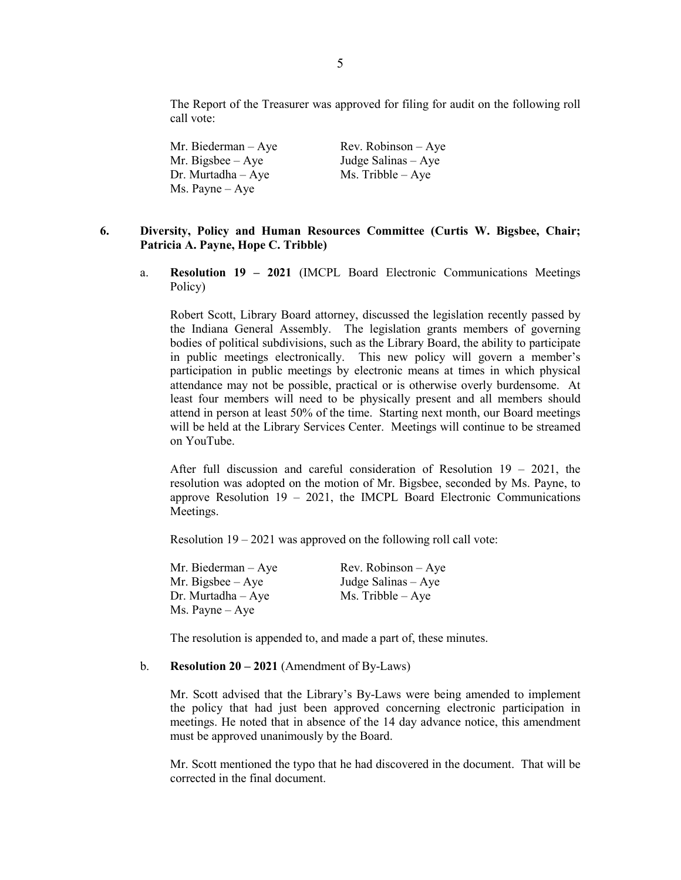The Report of the Treasurer was approved for filing for audit on the following roll call vote:

Mr. Biederman – Aye Rev. Robinson – Aye<br>Mr. Bigsbee – Aye Judge Salinas – Aye Mr. Bigsbee – Aye Dr. Murtadha – Aye  $Ms.$  Tribble – Aye Ms. Payne – Aye

## **6. Diversity, Policy and Human Resources Committee (Curtis W. Bigsbee, Chair; Patricia A. Payne, Hope C. Tribble)**

a. **Resolution 19 – 2021** (IMCPL Board Electronic Communications Meetings Policy)

Robert Scott, Library Board attorney, discussed the legislation recently passed by the Indiana General Assembly. The legislation grants members of governing bodies of political subdivisions, such as the Library Board, the ability to participate in public meetings electronically. This new policy will govern a member's participation in public meetings by electronic means at times in which physical attendance may not be possible, practical or is otherwise overly burdensome. At least four members will need to be physically present and all members should attend in person at least 50% of the time. Starting next month, our Board meetings will be held at the Library Services Center. Meetings will continue to be streamed on YouTube.

After full discussion and careful consideration of Resolution 19 – 2021, the resolution was adopted on the motion of Mr. Bigsbee, seconded by Ms. Payne, to approve Resolution  $19 - 2021$ , the IMCPL Board Electronic Communications Meetings.

Resolution 19 – 2021 was approved on the following roll call vote:

| Mr. Biederman – Aye | $Rev. Robinson - Aye$ |
|---------------------|-----------------------|
| Mr. Bigsbee $-$ Aye | Judge Salinas $-$ Aye |
| Dr. Murtadha – Aye  | $Ms.$ Tribble $-Aye$  |
| Ms. Payne – Aye     |                       |

The resolution is appended to, and made a part of, these minutes.

### b. **Resolution 20 – 2021** (Amendment of By-Laws)

Mr. Scott advised that the Library's By-Laws were being amended to implement the policy that had just been approved concerning electronic participation in meetings. He noted that in absence of the 14 day advance notice, this amendment must be approved unanimously by the Board.

Mr. Scott mentioned the typo that he had discovered in the document. That will be corrected in the final document.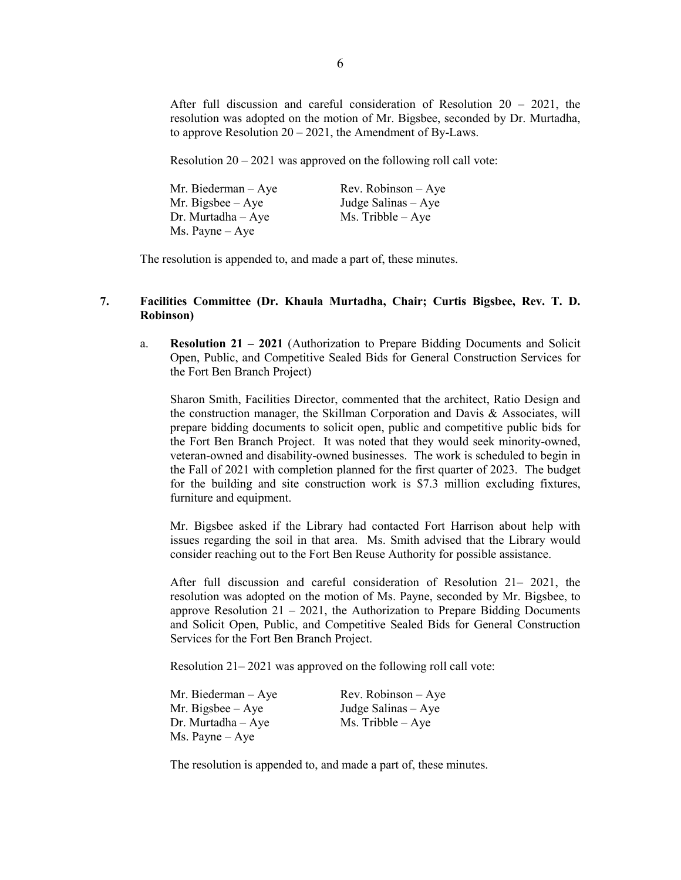After full discussion and careful consideration of Resolution 20 – 2021, the resolution was adopted on the motion of Mr. Bigsbee, seconded by Dr. Murtadha, to approve Resolution  $20 - 2021$ , the Amendment of By-Laws.

Resolution  $20 - 2021$  was approved on the following roll call vote:

| Mr. Biederman $-$ Aye    | $Rev. Robinson - Aye$ |
|--------------------------|-----------------------|
| Mr. Bigsbee $-$ Aye      | Judge Salinas $-$ Aye |
| $Dr.$ Murtadha $-$ Aye   | $Ms.$ Tribble $-$ Aye |
| $Ms. \text{Payne} - Aye$ |                       |

The resolution is appended to, and made a part of, these minutes.

### **7. Facilities Committee (Dr. Khaula Murtadha, Chair; Curtis Bigsbee, Rev. T. D. Robinson)**

a. **Resolution 21 – 2021** (Authorization to Prepare Bidding Documents and Solicit Open, Public, and Competitive Sealed Bids for General Construction Services for the Fort Ben Branch Project)

Sharon Smith, Facilities Director, commented that the architect, Ratio Design and the construction manager, the Skillman Corporation and Davis & Associates, will prepare bidding documents to solicit open, public and competitive public bids for the Fort Ben Branch Project. It was noted that they would seek minority-owned, veteran-owned and disability-owned businesses. The work is scheduled to begin in the Fall of 2021 with completion planned for the first quarter of 2023. The budget for the building and site construction work is \$7.3 million excluding fixtures, furniture and equipment.

Mr. Bigsbee asked if the Library had contacted Fort Harrison about help with issues regarding the soil in that area. Ms. Smith advised that the Library would consider reaching out to the Fort Ben Reuse Authority for possible assistance.

After full discussion and careful consideration of Resolution 21– 2021, the resolution was adopted on the motion of Ms. Payne, seconded by Mr. Bigsbee, to approve Resolution  $21 - 2021$ , the Authorization to Prepare Bidding Documents and Solicit Open, Public, and Competitive Sealed Bids for General Construction Services for the Fort Ben Branch Project.

Resolution 21– 2021 was approved on the following roll call vote:

| Mr. Biederman $-$ Aye    | $Rev. Robinson - Aye$ |
|--------------------------|-----------------------|
| Mr. Bigsbee $-$ Aye      | Judge Salinas $-$ Aye |
| $Dr.$ Murtadha $-Aye$    | $Ms.$ Tribble $-$ Aye |
| $Ms. \text{Payne} - Aye$ |                       |

The resolution is appended to, and made a part of, these minutes.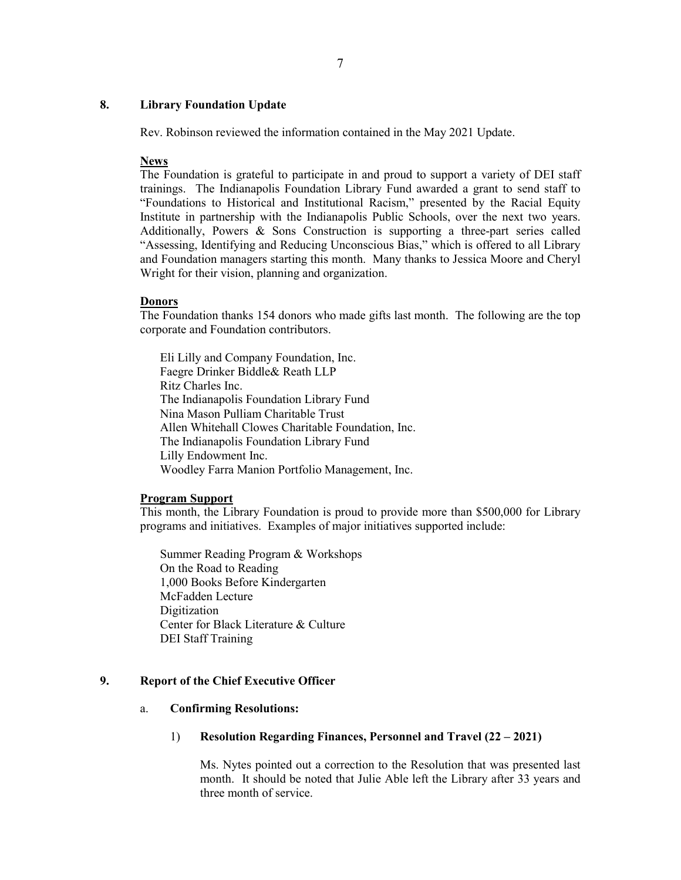## **8. Library Foundation Update**

Rev. Robinson reviewed the information contained in the May 2021 Update.

#### **News**

The Foundation is grateful to participate in and proud to support a variety of DEI staff trainings. The Indianapolis Foundation Library Fund awarded a grant to send staff to "Foundations to Historical and Institutional Racism," presented by the Racial Equity Institute in partnership with the Indianapolis Public Schools, over the next two years. Additionally, Powers & Sons Construction is supporting a three-part series called "Assessing, Identifying and Reducing Unconscious Bias," which is offered to all Library and Foundation managers starting this month. Many thanks to Jessica Moore and Cheryl Wright for their vision, planning and organization.

#### **Donors**

The Foundation thanks 154 donors who made gifts last month. The following are the top corporate and Foundation contributors.

Eli Lilly and Company Foundation, Inc. Faegre Drinker Biddle& Reath LLP Ritz Charles Inc. The Indianapolis Foundation Library Fund Nina Mason Pulliam Charitable Trust Allen Whitehall Clowes Charitable Foundation, Inc. The Indianapolis Foundation Library Fund Lilly Endowment Inc. Woodley Farra Manion Portfolio Management, Inc.

## **Program Support**

This month, the Library Foundation is proud to provide more than \$500,000 for Library programs and initiatives. Examples of major initiatives supported include:

Summer Reading Program & Workshops On the Road to Reading 1,000 Books Before Kindergarten McFadden Lecture Digitization Center for Black Literature & Culture DEI Staff Training

### **9. Report of the Chief Executive Officer**

## a. **Confirming Resolutions:**

### 1) **Resolution Regarding Finances, Personnel and Travel (22 – 2021)**

Ms. Nytes pointed out a correction to the Resolution that was presented last month. It should be noted that Julie Able left the Library after 33 years and three month of service.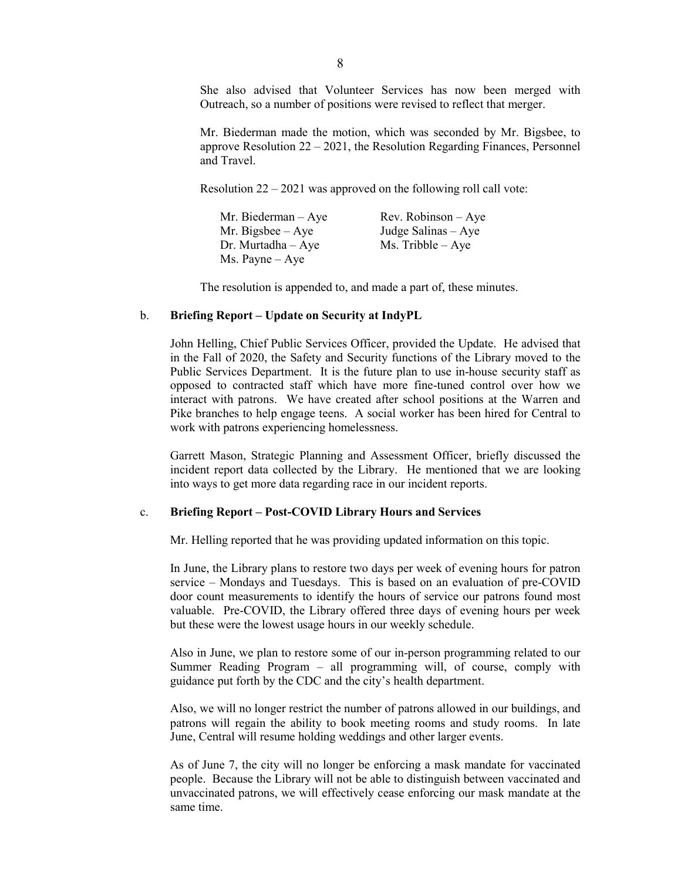She also advised that Volunteer Services has now been merged with Outreach, so a number of positions were revised to reflect that merger.

Mr. Biederman made the motion, which was seconded by Mr. Bigsbee, to approve Resolution 22 – 2021, the Resolution Regarding Finances, Personnel and Travel.

Resolution 22 – 2021 was approved on the following roll call vote:

| Mr. Biederman $-$ Aye    | Rev. Robinson $-$ Aye |
|--------------------------|-----------------------|
| Mr. Bigsbee $-$ Aye      | Judge Salinas $-$ Aye |
| $Dr.$ Murtadha $-$ Aye   | $Ms.$ Tribble $-$ Aye |
| $Ms. \text{Payne} - Aye$ |                       |

The resolution is appended to, and made a part of, these minutes.

#### b. **Briefing Report – Update on Security at IndyPL**

John Helling, Chief Public Services Officer, provided the Update. He advised that in the Fall of 2020, the Safety and Security functions of the Library moved to the Public Services Department. It is the future plan to use in-house security staff as opposed to contracted staff which have more fine-tuned control over how we interact with patrons. We have created after school positions at the Warren and Pike branches to help engage teens. A social worker has been hired for Central to work with patrons experiencing homelessness.

Garrett Mason, Strategic Planning and Assessment Officer, briefly discussed the incident report data collected by the Library. He mentioned that we are looking into ways to get more data regarding race in our incident reports.

#### c. **Briefing Report – Post-COVID Library Hours and Services**

Mr. Helling reported that he was providing updated information on this topic.

In June, the Library plans to restore two days per week of evening hours for patron service – Mondays and Tuesdays. This is based on an evaluation of pre-COVID door count measurements to identify the hours of service our patrons found most valuable. Pre-COVID, the Library offered three days of evening hours per week but these were the lowest usage hours in our weekly schedule.

Also in June, we plan to restore some of our in-person programming related to our Summer Reading Program – all programming will, of course, comply with guidance put forth by the CDC and the city's health department.

Also, we will no longer restrict the number of patrons allowed in our buildings, and patrons will regain the ability to book meeting rooms and study rooms. In late June, Central will resume holding weddings and other larger events.

As of June 7, the city will no longer be enforcing a mask mandate for vaccinated people. Because the Library will not be able to distinguish between vaccinated and unvaccinated patrons, we will effectively cease enforcing our mask mandate at the same time.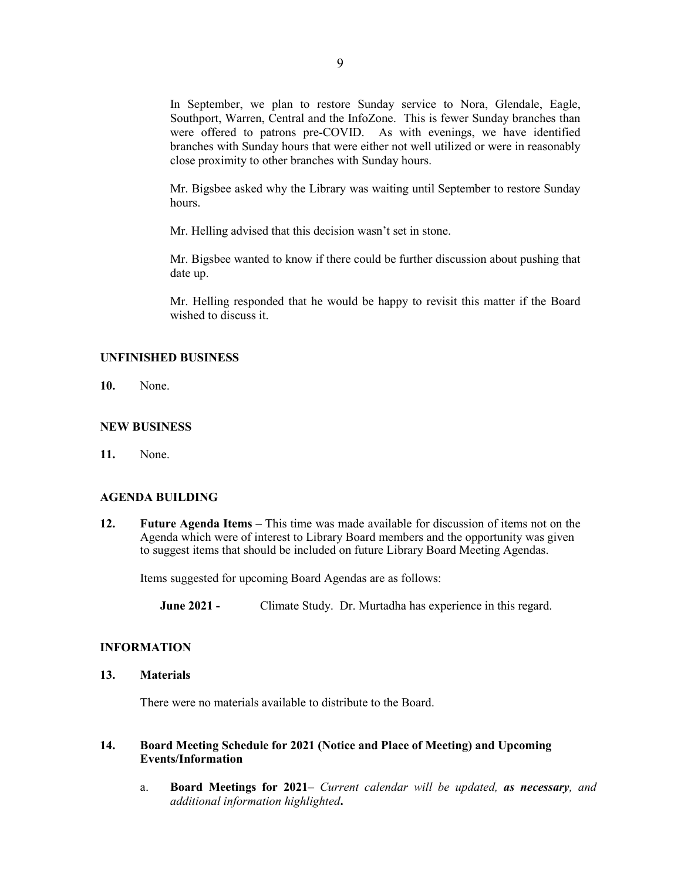In September, we plan to restore Sunday service to Nora, Glendale, Eagle, Southport, Warren, Central and the InfoZone. This is fewer Sunday branches than were offered to patrons pre-COVID. As with evenings, we have identified branches with Sunday hours that were either not well utilized or were in reasonably close proximity to other branches with Sunday hours.

Mr. Bigsbee asked why the Library was waiting until September to restore Sunday hours.

Mr. Helling advised that this decision wasn't set in stone.

Mr. Bigsbee wanted to know if there could be further discussion about pushing that date up.

Mr. Helling responded that he would be happy to revisit this matter if the Board wished to discuss it.

#### **UNFINISHED BUSINESS**

**10.** None.

#### **NEW BUSINESS**

**11.** None.

#### **AGENDA BUILDING**

**12. Future Agenda Items –** This time was made available for discussion of items not on the Agenda which were of interest to Library Board members and the opportunity was given to suggest items that should be included on future Library Board Meeting Agendas.

Items suggested for upcoming Board Agendas are as follows:

**June 2021 -** Climate Study. Dr. Murtadha has experience in this regard.

#### **INFORMATION**

#### **13. Materials**

There were no materials available to distribute to the Board.

## **14. Board Meeting Schedule for 2021 (Notice and Place of Meeting) and Upcoming Events/Information**

a. **Board Meetings for 2021***– Current calendar will be updated, as necessary, and additional information highlighted***.**